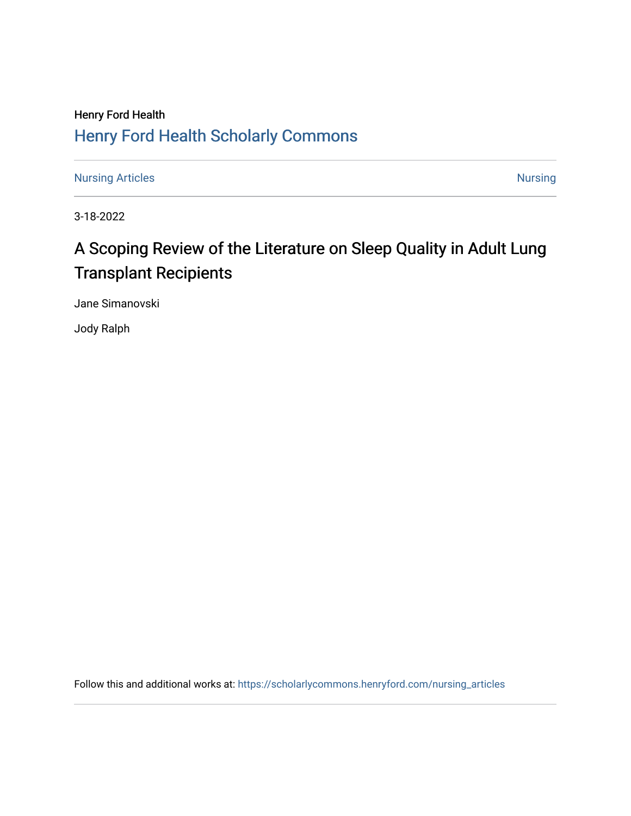# Henry Ford Health [Henry Ford Health Scholarly Commons](https://scholarlycommons.henryford.com/)

[Nursing Articles](https://scholarlycommons.henryford.com/nursing_articles) [Nursing](https://scholarlycommons.henryford.com/nursing) Articles Nursing Nursing Nursing Nursing Nursing Nursing Nursing Nursing

3-18-2022

# A Scoping Review of the Literature on Sleep Quality in Adult Lung Transplant Recipients

Jane Simanovski

Jody Ralph

Follow this and additional works at: [https://scholarlycommons.henryford.com/nursing\\_articles](https://scholarlycommons.henryford.com/nursing_articles?utm_source=scholarlycommons.henryford.com%2Fnursing_articles%2F18&utm_medium=PDF&utm_campaign=PDFCoverPages)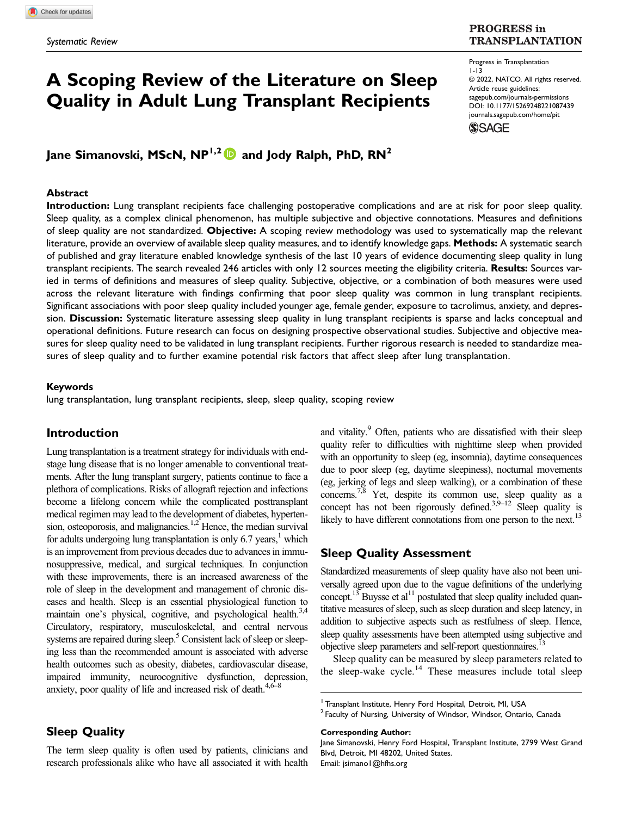# A Scoping Review of the Literature on Sleep Quality in Adult Lung Transplant Recipients

**PROGRESS** in **TRANSPLANTATION** 

#### Progress in Transplantation 1-13 © 2022, NATCO. All rights reserved. Article reuse guidelines: [sagepub.com/journals-permissions](https://us.sagepub.com/en-us/journals-permissions) DOI: [10.1177/15269248221087439](https://doi.org/10.1177/15269248221087439) [journals.sagepub.com/home/pit](https://journals.sagepub.com/home/pit)**SSAGE**

Jane Simanovski, MScN, NP<sup>1,2</sup> and Jody Ralph, PhD, RN<sup>2</sup>

#### Abstract

Introduction: Lung transplant recipients face challenging postoperative complications and are at risk for poor sleep quality. Sleep quality, as a complex clinical phenomenon, has multiple subjective and objective connotations. Measures and definitions of sleep quality are not standardized. Objective: A scoping review methodology was used to systematically map the relevant literature, provide an overview of available sleep quality measures, and to identify knowledge gaps. **Methods:** A systematic search of published and gray literature enabled knowledge synthesis of the last 10 years of evidence documenting sleep quality in lung transplant recipients. The search revealed 246 articles with only 12 sources meeting the eligibility criteria. Results: Sources varied in terms of definitions and measures of sleep quality. Subjective, objective, or a combination of both measures were used across the relevant literature with findings confirming that poor sleep quality was common in lung transplant recipients. Significant associations with poor sleep quality included younger age, female gender, exposure to tacrolimus, anxiety, and depression. Discussion: Systematic literature assessing sleep quality in lung transplant recipients is sparse and lacks conceptual and operational definitions. Future research can focus on designing prospective observational studies. Subjective and objective measures for sleep quality need to be validated in lung transplant recipients. Further rigorous research is needed to standardize measures of sleep quality and to further examine potential risk factors that affect sleep after lung transplantation.

#### Keywords

lung transplantation, lung transplant recipients, sleep, sleep quality, scoping review

### Introduction

Lung transplantation is a treatment strategy for individuals with endstage lung disease that is no longer amenable to conventional treatments. After the lung transplant surgery, patients continue to face a plethora of complications. Risks of allograft rejection and infections become a lifelong concern while the complicated posttransplant medical regimen may lead to the development of diabetes, hypertension, osteoporosis, and malignancies.<sup>1,2</sup> Hence, the median survival for adults undergoing lung transplantation is only  $6.7$  years,<sup>1</sup> which is an improvement from previous decades due to advances in immunosuppressive, medical, and surgical techniques. In conjunction with these improvements, there is an increased awareness of the role of sleep in the development and management of chronic diseases and health. Sleep is an essential physiological function to maintain one's physical, cognitive, and psychological health.<sup>3,4</sup> Circulatory, respiratory, musculoskeletal, and central nervous systems are repaired during sleep.<sup>5</sup> Consistent lack of sleep or sleeping less than the recommended amount is associated with adverse health outcomes such as obesity, diabetes, cardiovascular disease, impaired immunity, neurocognitive dysfunction, depression, anxiety, poor quality of life and increased risk of death.<sup>4,6–8</sup>

# Sleep Quality

The term sleep quality is often used by patients, clinicians and research professionals alike who have all associated it with health

and vitality.<sup>9</sup> Often, patients who are dissatisfied with their sleep quality refer to difficulties with nighttime sleep when provided with an opportunity to sleep (eg, insomnia), daytime consequences due to poor sleep (eg, daytime sleepiness), nocturnal movements (eg, jerking of legs and sleep walking), or a combination of these concerns.<sup>7,8</sup> Yet, despite its common use, sleep quality as a concept has not been rigorously defined.<sup>3,9–12</sup> Sleep quality is likely to have different connotations from one person to the next.<sup>13</sup>

## Sleep Quality Assessment

Standardized measurements of sleep quality have also not been universally agreed upon due to the vague definitions of the underlying concept.<sup>13</sup> Buysse et al<sup>11</sup> postulated that sleep quality included quantitative measures of sleep, such as sleep duration and sleep latency, in addition to subjective aspects such as restfulness of sleep. Hence, sleep quality assessments have been attempted using subjective and objective sleep parameters and self-report questionnaires.<sup>13</sup>

Sleep quality can be measured by sleep parameters related to the sleep-wake cycle.<sup>14</sup> These measures include total sleep

Corresponding Author:

<sup>&</sup>lt;sup>1</sup> Transplant Institute, Henry Ford Hospital, Detroit, MI, USA

<sup>&</sup>lt;sup>2</sup> Faculty of Nursing, University of Windsor, Windsor, Ontario, Canada

Jane Simanovski, Henry Ford Hospital, Transplant Institute, 2799 West Grand Blvd, Detroit, MI 48202, United States. Email: [jsimano1@hfhs.org](mailto:jsimano1@hfhs.org)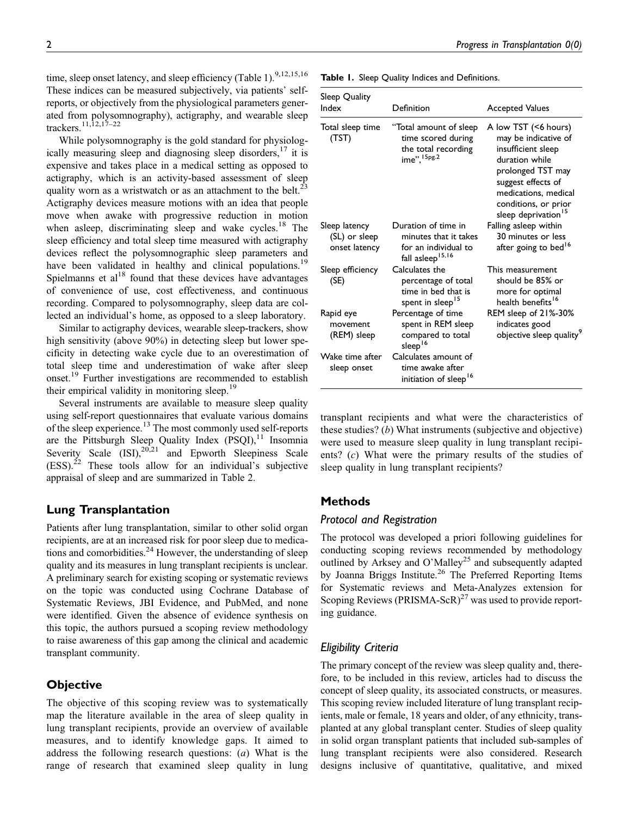time, sleep onset latency, and sleep efficiency (Table 1).<sup>9,12,15,16</sup> These indices can be measured subjectively, via patients' selfreports, or objectively from the physiological parameters generated from polysomnography), actigraphy, and wearable sleep trackers.11,12,17–<sup>22</sup>

While polysomnography is the gold standard for physiologically measuring sleep and diagnosing sleep disorders,  $17$  it is expensive and takes place in a medical setting as opposed to actigraphy, which is an activity-based assessment of sleep quality worn as a wristwatch or as an attachment to the belt.<sup>23</sup> Actigraphy devices measure motions with an idea that people move when awake with progressive reduction in motion when asleep, discriminating sleep and wake cycles.<sup>18</sup> The sleep efficiency and total sleep time measured with actigraphy devices reflect the polysomnographic sleep parameters and have been validated in healthy and clinical populations.<sup>19</sup> Spielmanns et  $al<sup>18</sup>$  found that these devices have advantages of convenience of use, cost effectiveness, and continuous recording. Compared to polysomnography, sleep data are collected an individual's home, as opposed to a sleep laboratory.

Similar to actigraphy devices, wearable sleep-trackers, show high sensitivity (above 90%) in detecting sleep but lower specificity in detecting wake cycle due to an overestimation of total sleep time and underestimation of wake after sleep onset.<sup>19</sup> Further investigations are recommended to establish their empirical validity in monitoring sleep.<sup>19</sup>

Several instruments are available to measure sleep quality using self-report questionnaires that evaluate various domains of the sleep experience.<sup>13</sup> The most commonly used self-reports are the Pittsburgh Sleep Quality Index (PSQI),<sup>11</sup> Insomnia Severity Scale  $(ISI)$ ,  $20.21$  and Epworth Sleepiness Scale  $(ESS)$ .<sup>22</sup> These tools allow for an individual's subjective appraisal of sleep and are summarized in Table 2.

# Lung Transplantation

Patients after lung transplantation, similar to other solid organ recipients, are at an increased risk for poor sleep due to medications and comorbidities. $^{24}$  However, the understanding of sleep quality and its measures in lung transplant recipients is unclear. A preliminary search for existing scoping or systematic reviews on the topic was conducted using Cochrane Database of Systematic Reviews, JBI Evidence, and PubMed, and none were identified. Given the absence of evidence synthesis on this topic, the authors pursued a scoping review methodology to raise awareness of this gap among the clinical and academic transplant community.

# **Objective**

The objective of this scoping review was to systematically map the literature available in the area of sleep quality in lung transplant recipients, provide an overview of available measures, and to identify knowledge gaps. It aimed to address the following research questions: (a) What is the range of research that examined sleep quality in lung

| Table 1. Sleep Quality Indices and Definitions. |  |  |  |  |  |  |  |
|-------------------------------------------------|--|--|--|--|--|--|--|
|-------------------------------------------------|--|--|--|--|--|--|--|

| Sleep Quality<br>Index                          | Definition                                                                                           | <b>Accepted Values</b>                                                                                                                                                                                             |
|-------------------------------------------------|------------------------------------------------------------------------------------------------------|--------------------------------------------------------------------------------------------------------------------------------------------------------------------------------------------------------------------|
| Total sleep time<br>(TST)                       | "Total amount of sleep<br>time scored during<br>the total recording<br>ime", 15pg.2                  | A low TST (<6 hours)<br>may be indicative of<br>insufficient sleep<br>duration while<br>prolonged TST may<br>suggest effects of<br>medications, medical<br>conditions, or prior<br>sleep deprivation <sup>15</sup> |
| Sleep latency<br>(SL) or sleep<br>onset latency | Duration of time in<br>minutes that it takes<br>for an individual to<br>fall asleep <sup>15,16</sup> | Falling asleep within<br>30 minutes or less<br>after going to bed <sup>16</sup>                                                                                                                                    |
| Sleep efficiency<br>(SE)                        | Calculates the<br>percentage of total<br>time in hed that is<br>spent in sleep <sup>15</sup>         | This measurement<br>should be 85% or<br>more for optimal<br>health benefits <sup>16</sup>                                                                                                                          |
| Rapid eye<br>movement<br>(REM) sleep            | Percentage of time<br>spent in REM sleep<br>compared to total<br>sleep <sup>16</sup>                 | REM sleep of 21%-30%<br>indicates good<br>objective sleep quality <sup>9</sup>                                                                                                                                     |
| Wake time after<br>sleep onset                  | Calculates amount of<br>time awake after<br>initiation of sleep <sup>16</sup>                        |                                                                                                                                                                                                                    |

transplant recipients and what were the characteristics of these studies? (b) What instruments (subjective and objective) were used to measure sleep quality in lung transplant recipients? (c) What were the primary results of the studies of sleep quality in lung transplant recipients?

# **Methods**

## Protocol and Registration

The protocol was developed a priori following guidelines for conducting scoping reviews recommended by methodology outlined by Arksey and O'Malley<sup>25</sup> and subsequently adapted by Joanna Briggs Institute.<sup>26</sup> The Preferred Reporting Items for Systematic reviews and Meta-Analyzes extension for Scoping Reviews (PRISMA-ScR)<sup>27</sup> was used to provide reporting guidance.

# Eligibility Criteria

The primary concept of the review was sleep quality and, therefore, to be included in this review, articles had to discuss the concept of sleep quality, its associated constructs, or measures. This scoping review included literature of lung transplant recipients, male or female, 18 years and older, of any ethnicity, transplanted at any global transplant center. Studies of sleep quality in solid organ transplant patients that included sub-samples of lung transplant recipients were also considered. Research designs inclusive of quantitative, qualitative, and mixed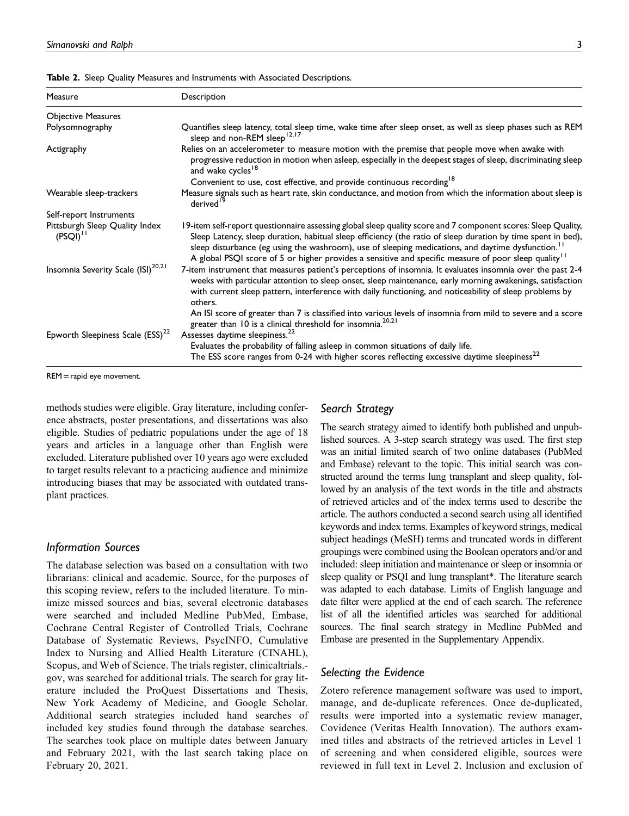| Measure                                         | Description                                                                                                                                                                                                                                                                                                                                                                                                                                                         |
|-------------------------------------------------|---------------------------------------------------------------------------------------------------------------------------------------------------------------------------------------------------------------------------------------------------------------------------------------------------------------------------------------------------------------------------------------------------------------------------------------------------------------------|
| <b>Objective Measures</b>                       |                                                                                                                                                                                                                                                                                                                                                                                                                                                                     |
| Polysomnography                                 | Quantifies sleep latency, total sleep time, wake time after sleep onset, as well as sleep phases such as REM<br>sleep and non-REM sleep <sup>12,17</sup>                                                                                                                                                                                                                                                                                                            |
| Actigraphy                                      | Relies on an accelerometer to measure motion with the premise that people move when awake with<br>progressive reduction in motion when asleep, especially in the deepest stages of sleep, discriminating sleep<br>and wake cycles <sup>18</sup>                                                                                                                                                                                                                     |
|                                                 | Convenient to use, cost effective, and provide continuous recording <sup>18</sup>                                                                                                                                                                                                                                                                                                                                                                                   |
| Wearable sleep-trackers                         | Measure signals such as heart rate, skin conductance, and motion from which the information about sleep is<br>derived <sup>19</sup>                                                                                                                                                                                                                                                                                                                                 |
| Self-report Instruments                         |                                                                                                                                                                                                                                                                                                                                                                                                                                                                     |
| Pittsburgh Sleep Quality Index<br>$(PSQI)^{11}$ | 19-item self-report questionnaire assessing global sleep quality score and 7 component scores: Sleep Quality,<br>Sleep Latency, sleep duration, habitual sleep efficiency (the ratio of sleep duration by time spent in bed),<br>sleep disturbance (eg using the washroom), use of sleeping medications, and daytime dysfunction. <sup>11</sup><br>A global PSQI score of 5 or higher provides a sensitive and specific measure of poor sleep quality <sup>11</sup> |
| Insomnia Severity Scale (ISI) <sup>20,21</sup>  | 7-item instrument that measures patient's perceptions of insomnia. It evaluates insomnia over the past 2-4<br>weeks with particular attention to sleep onset, sleep maintenance, early morning awakenings, satisfaction<br>with current sleep pattern, interference with daily functioning, and noticeability of sleep problems by<br>others.                                                                                                                       |
|                                                 | An ISI score of greater than 7 is classified into various levels of insomnia from mild to severe and a score<br>greater than 10 is a clinical threshold for insomnia. <sup>20,21</sup>                                                                                                                                                                                                                                                                              |
| Epworth Sleepiness Scale (ESS) <sup>22</sup>    | Assesses daytime sleepiness. <sup>22</sup><br>Evaluates the probability of falling asleep in common situations of daily life.<br>The ESS score ranges from 0-24 with higher scores reflecting excessive daytime sleepiness <sup>22</sup>                                                                                                                                                                                                                            |

Table 2. Sleep Quality Measures and Instruments with Associated Descriptions.

REM =rapid eye movement.

methods studies were eligible. Gray literature, including conference abstracts, poster presentations, and dissertations was also eligible. Studies of pediatric populations under the age of 18 years and articles in a language other than English were excluded. Literature published over 10 years ago were excluded to target results relevant to a practicing audience and minimize introducing biases that may be associated with outdated transplant practices.

#### Information Sources

The database selection was based on a consultation with two librarians: clinical and academic. Source, for the purposes of this scoping review, refers to the included literature. To minimize missed sources and bias, several electronic databases were searched and included Medline PubMed, Embase, Cochrane Central Register of Controlled Trials, Cochrane Database of Systematic Reviews, PsycINFO, Cumulative Index to Nursing and Allied Health Literature (CINAHL), Scopus, and Web of Science. The trials register, clinicaltrials. gov, was searched for additional trials. The search for gray literature included the ProQuest Dissertations and Thesis, New York Academy of Medicine, and Google Scholar. Additional search strategies included hand searches of included key studies found through the database searches. The searches took place on multiple dates between January and February 2021, with the last search taking place on February 20, 2021.

#### Search Strategy

The search strategy aimed to identify both published and unpublished sources. A 3-step search strategy was used. The first step was an initial limited search of two online databases (PubMed and Embase) relevant to the topic. This initial search was constructed around the terms lung transplant and sleep quality, followed by an analysis of the text words in the title and abstracts of retrieved articles and of the index terms used to describe the article. The authors conducted a second search using all identified keywords and index terms. Examples of keyword strings, medical subject headings (MeSH) terms and truncated words in different groupings were combined using the Boolean operators and/or and included: sleep initiation and maintenance or sleep or insomnia or sleep quality or PSQI and lung transplant\*. The literature search was adapted to each database. Limits of English language and date filter were applied at the end of each search. The reference list of all the identified articles was searched for additional sources. The final search strategy in Medline PubMed and Embase are presented in the [Supplementary Appendix.](https://journals.sagepub.com/doi/suppl/10.1177/15269248221087439)

#### Selecting the Evidence

Zotero reference management software was used to import, manage, and de-duplicate references. Once de-duplicated, results were imported into a systematic review manager, Covidence (Veritas Health Innovation). The authors examined titles and abstracts of the retrieved articles in Level 1 of screening and when considered eligible, sources were reviewed in full text in Level 2. Inclusion and exclusion of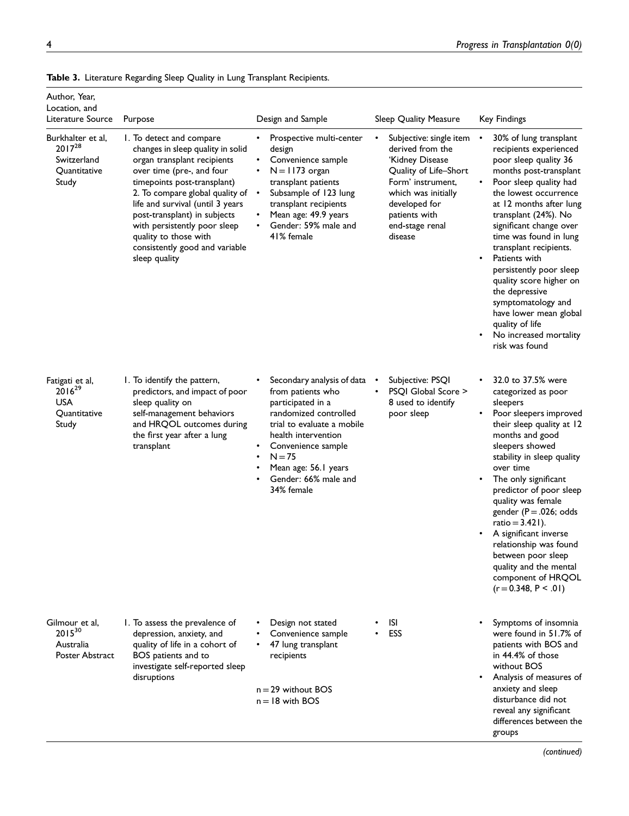| Author, Year,<br>Location, and                                           |                                                                                                                                                                                                                                                                                                                                                                             |                                                                                                                                                                                                                                                    |                                                                                                                                                                                                     |                                                                                                                                                                                                                                                                                                                                                                                                                                                                                                  |
|--------------------------------------------------------------------------|-----------------------------------------------------------------------------------------------------------------------------------------------------------------------------------------------------------------------------------------------------------------------------------------------------------------------------------------------------------------------------|----------------------------------------------------------------------------------------------------------------------------------------------------------------------------------------------------------------------------------------------------|-----------------------------------------------------------------------------------------------------------------------------------------------------------------------------------------------------|--------------------------------------------------------------------------------------------------------------------------------------------------------------------------------------------------------------------------------------------------------------------------------------------------------------------------------------------------------------------------------------------------------------------------------------------------------------------------------------------------|
| Literature Source                                                        | Purpose                                                                                                                                                                                                                                                                                                                                                                     | Design and Sample                                                                                                                                                                                                                                  | Sleep Quality Measure                                                                                                                                                                               | <b>Key Findings</b>                                                                                                                                                                                                                                                                                                                                                                                                                                                                              |
| Burkhalter et al,<br>$2017^{28}$<br>Switzerland<br>Quantitative<br>Study | 1. To detect and compare<br>changes in sleep quality in solid<br>organ transplant recipients<br>over time (pre-, and four<br>timepoints post-transplant)<br>2. To compare global quality of<br>life and survival (until 3 years<br>post-transplant) in subjects<br>with persistently poor sleep<br>quality to those with<br>consistently good and variable<br>sleep quality | Prospective multi-center<br>design<br>Convenience sample<br>$N = 1173$ organ<br>transplant patients<br>Subsample of 123 lung<br>$\bullet$<br>transplant recipients<br>Mean age: 49.9 years<br>Gender: 59% male and<br>41% female                   | Subjective: single item<br>derived from the<br>'Kidney Disease<br>Quality of Life-Short<br>Form' instrument,<br>which was initially<br>developed for<br>patients with<br>end-stage renal<br>disease | 30% of lung transplant<br>recipients experienced<br>poor sleep quality 36<br>months post-transplant<br>Poor sleep quality had<br>the lowest occurrence<br>at 12 months after lung<br>transplant (24%). No<br>significant change over<br>time was found in lung<br>transplant recipients.<br>Patients with<br>persistently poor sleep<br>quality score higher on<br>the depressive<br>symptomatology and<br>have lower mean global<br>quality of life<br>No increased mortality<br>risk was found |
| Fatigati et al,<br>$2016^{29}$<br>USA<br>Quantitative<br>Study           | I. To identify the pattern,<br>predictors, and impact of poor<br>sleep quality on<br>self-management behaviors<br>and HRQOL outcomes during<br>the first year after a lung<br>transplant                                                                                                                                                                                    | Secondary analysis of data<br>from patients who<br>participated in a<br>randomized controlled<br>trial to evaluate a mobile<br>health intervention<br>Convenience sample<br>$N = 75$<br>Mean age: 56.1 years<br>Gender: 66% male and<br>34% female | Subjective: PSQI<br><b>PSOI Global Score &gt;</b><br>8 used to identify<br>poor sleep                                                                                                               | 32.0 to 37.5% were<br>categorized as poor<br>sleepers<br>Poor sleepers improved<br>their sleep quality at 12<br>months and good<br>sleepers showed<br>stability in sleep quality<br>over time<br>The only significant<br>predictor of poor sleep<br>quality was female<br>gender ( $P = .026$ ; odds<br>ratio = $3.421$ ).<br>A significant inverse<br>relationship was found<br>between poor sleep<br>quality and the mental<br>component of HRQOL<br>$(r = 0.348, P < .01)$                    |
| Gilmour et al,<br>$2015^{30}$<br>Australia<br>Poster Abstract            | 1. To assess the prevalence of<br>depression, anxiety, and<br>quality of life in a cohort of<br>BOS patients and to<br>investigate self-reported sleep<br>disruptions                                                                                                                                                                                                       | Design not stated<br>Convenience sample<br>47 lung transplant<br>recipients<br>$n = 29$ without BOS<br>$n = 18$ with BOS                                                                                                                           | isi<br>ESS                                                                                                                                                                                          | Symptoms of insomnia<br>were found in 51.7% of<br>patients with BOS and<br>in 44.4% of those<br>without BOS<br>Analysis of measures of<br>٠<br>anxiety and sleep<br>disturbance did not<br>reveal any significant<br>differences between the<br>groups                                                                                                                                                                                                                                           |

|  |  |  | Table 3. Literature Regarding Sleep Quality in Lung Transplant Recipients. |
|--|--|--|----------------------------------------------------------------------------|
|  |  |  |                                                                            |

(continued)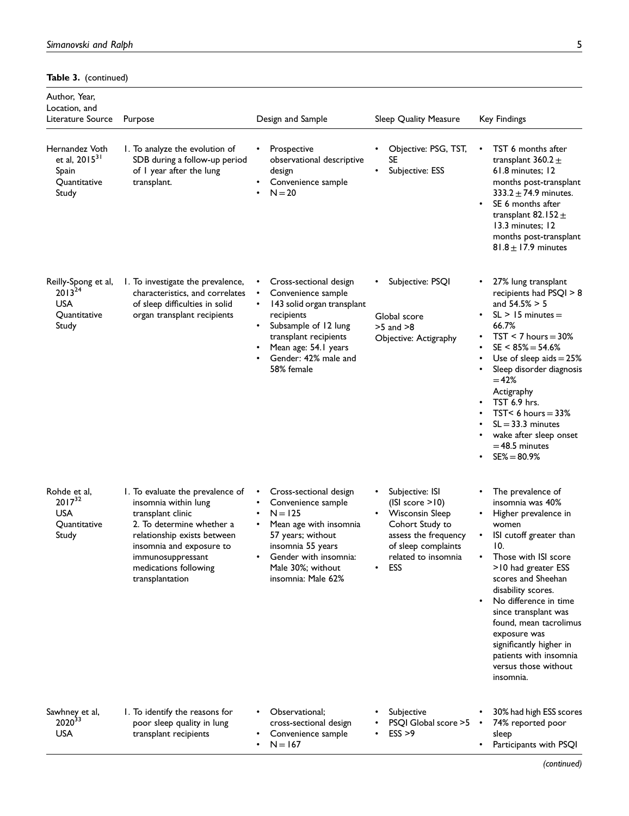## Table 3. (continued)

| Author, Year,<br>Location, and<br>Literature Source                    | Purpose                                                                                                                                                                                                                                | Design and Sample                                                                                                                                                                                                         | Sleep Quality Measure                                                                                                                                         | Key Findings                                                                                                                                                                                                                                                                                                                                                                                  |
|------------------------------------------------------------------------|----------------------------------------------------------------------------------------------------------------------------------------------------------------------------------------------------------------------------------------|---------------------------------------------------------------------------------------------------------------------------------------------------------------------------------------------------------------------------|---------------------------------------------------------------------------------------------------------------------------------------------------------------|-----------------------------------------------------------------------------------------------------------------------------------------------------------------------------------------------------------------------------------------------------------------------------------------------------------------------------------------------------------------------------------------------|
| Hernandez Voth<br>et al, $2015^{31}$<br>Spain<br>Quantitative<br>Study | I. To analyze the evolution of<br>SDB during a follow-up period<br>of I year after the lung<br>transplant.                                                                                                                             | Prospective<br>observational descriptive<br>design<br>Convenience sample<br>$N = 20$                                                                                                                                      | Objective: PSG, TST,<br>SE.<br>Subjective: ESS<br>$\bullet$                                                                                                   | TST 6 months after<br>transplant 360.2 $\pm$<br>61.8 minutes; 12<br>months post-transplant<br>333.2 $\pm$ 74.9 minutes.<br>SE 6 months after<br>$\bullet$<br>transplant 82.152 $\pm$<br>13.3 minutes: 12<br>months post-transplant<br>$81.8 \pm 17.9$ minutes                                                                                                                                 |
| Reilly-Spong et al,<br>$2013^{24}$<br>USA<br>Quantitative<br>Study     | 1. To investigate the prevalence,<br>characteristics, and correlates<br>of sleep difficulties in solid<br>organ transplant recipients                                                                                                  | Cross-sectional design<br>Convenience sample<br>$\bullet$<br>143 solid organ transplant<br>٠<br>recipients<br>Subsample of 12 lung<br>transplant recipients<br>Mean age: 54.1 years<br>Gender: 42% male and<br>58% female | Subjective: PSQI<br>Global score<br>$>5$ and $>8$<br>Objective: Actigraphy                                                                                    | 27% lung transplant<br>recipients had PSQI > 8<br>and $54.5% > 5$<br>$SL > 15$ minutes $=$<br>66.7%<br>$TST < 7$ hours = 30%<br>$SE < 85\% = 54.6\%$<br>$\bullet$<br>Use of sleep aids $= 25\%$<br>Sleep disorder diagnosis<br>$= 42%$<br>Actigraphy<br><b>TST 6.9 hrs.</b><br>$TST < 6$ hours = 33%<br>$SL = 33.3$ minutes<br>wake after sleep onset<br>$=$ 48.5 minutes<br>$SE% = 80.9%$    |
| Rohde et al,<br>$2017^{32}$<br><b>USA</b><br>Quantitative<br>Study     | 1. To evaluate the prevalence of<br>insomnia within lung<br>transplant clinic<br>2. To determine whether a<br>relationship exists between<br>insomnia and exposure to<br>immunosuppressant<br>medications following<br>transplantation | Cross-sectional design<br>Convenience sample<br>$N = 125$<br>Mean age with insomnia<br>57 years; without<br>insomnia 55 years<br>Gender with insomnia:<br>Male 30%; without<br>insomnia: Male 62%                         | Subjective: ISI<br>(ISI score > 10)<br><b>Wisconsin Sleep</b><br>Cohort Study to<br>assess the frequency<br>of sleep complaints<br>related to insomnia<br>ESS | The prevalence of<br>٠<br>insomnia was 40%<br>Higher prevalence in<br>women<br>ISI cutoff greater than<br>10.<br>Those with ISI score<br>>10 had greater ESS<br>scores and Sheehan<br>disability scores.<br>No difference in time<br>since transplant was<br>found, mean tacrolimus<br>exposure was<br>significantly higher in<br>patients with insomnia<br>versus those without<br>insomnia. |
| Sawhney et al,<br>2020 <sup>33</sup><br>USA                            | 1. To identify the reasons for<br>poor sleep quality in lung<br>transplant recipients                                                                                                                                                  | Observational;<br>cross-sectional design<br>Convenience sample<br>$N = 167$                                                                                                                                               | Subjective<br>PSQI Global score >5<br>ESS > 9                                                                                                                 | 30% had high ESS scores<br>74% reported poor<br>sleep<br>Participants with PSQI                                                                                                                                                                                                                                                                                                               |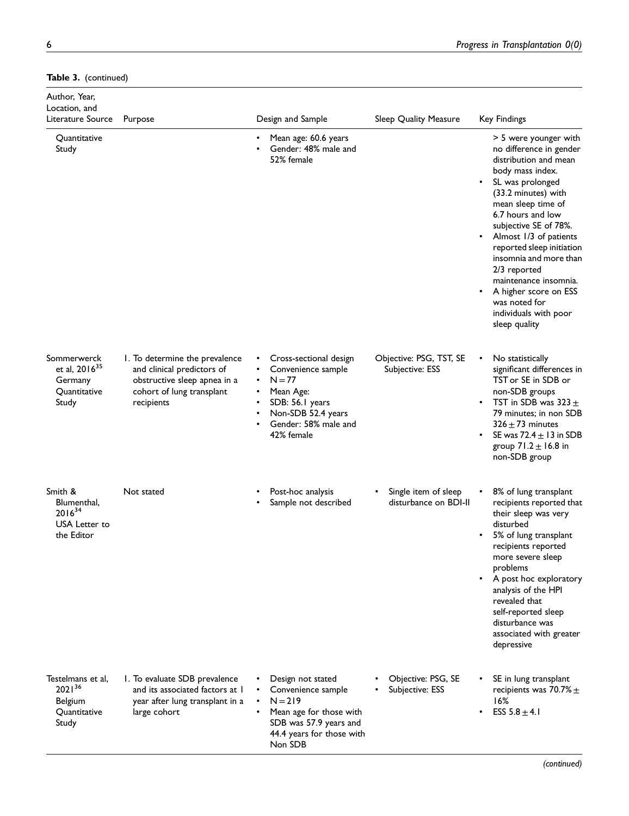## Table 3. (continued)

| Author, Year,<br>Location, and<br>Literature Source                          | Purpose                                                                                                                                 | Design and Sample                                                                                                                                                 | Sleep Quality Measure                         | Key Findings                                                                                                                                                                                                                                                                                                                                                                                                                                 |
|------------------------------------------------------------------------------|-----------------------------------------------------------------------------------------------------------------------------------------|-------------------------------------------------------------------------------------------------------------------------------------------------------------------|-----------------------------------------------|----------------------------------------------------------------------------------------------------------------------------------------------------------------------------------------------------------------------------------------------------------------------------------------------------------------------------------------------------------------------------------------------------------------------------------------------|
| Quantitative<br>Study                                                        |                                                                                                                                         | Mean age: 60.6 years<br>Gender: 48% male and<br>52% female                                                                                                        |                                               | > 5 were younger with<br>no difference in gender<br>distribution and mean<br>body mass index.<br>SL was prolonged<br>$\bullet$<br>(33.2 minutes) with<br>mean sleep time of<br>6.7 hours and low<br>subjective SE of 78%.<br>Almost 1/3 of patients<br>٠<br>reported sleep initiation<br>insomnia and more than<br>2/3 reported<br>maintenance insomnia.<br>A higher score on ESS<br>was noted for<br>individuals with poor<br>sleep quality |
| Sommerwerck<br>et al, 2016 <sup>35</sup><br>Germany<br>Quantitative<br>Study | 1. To determine the prevalence<br>and clinical predictors of<br>obstructive sleep apnea in a<br>cohort of lung transplant<br>recipients | Cross-sectional design<br>Convenience sample<br>$N = 77$<br>Mean Age:<br>SDB: 56.1 years<br>Non-SDB 52.4 years<br>$\bullet$<br>Gender: 58% male and<br>42% female | Objective: PSG, TST, SE<br>Subjective: ESS    | No statistically<br>significant differences in<br>TST or SE in SDB or<br>non-SDB groups<br>TST in SDB was $323 \pm$<br>79 minutes; in non SDB<br>$326 \pm 73$ minutes<br>SE was $72.4 \pm 13$ in SDB<br>group $71.2 \pm 16.8$ in<br>non-SDB group                                                                                                                                                                                            |
| Smith &<br>Blumenthal,<br>$2016^{34}$<br>USA Letter to<br>the Editor         | Not stated                                                                                                                              | Post-hoc analysis<br>Sample not described                                                                                                                         | Single item of sleep<br>disturbance on BDI-II | 8% of lung transplant<br>recipients reported that<br>their sleep was very<br>disturbed<br>5% of lung transplant<br>recipients reported<br>more severe sleep<br>problems<br>A post hoc exploratory<br>analysis of the HPI<br>revealed that<br>self-reported sleep<br>disturbance was<br>associated with greater<br>depressive                                                                                                                 |
| Testelmans et al.<br>$2021^{36}$<br><b>Belgium</b><br>Quantitative<br>Study  | 1. To evaluate SDB prevalence<br>and its associated factors at I<br>year after lung transplant in a<br>large cohort                     | Design not stated<br>Convenience sample<br>$N = 219$<br>$\bullet$<br>Mean age for those with<br>SDB was 57.9 years and<br>44.4 years for those with<br>Non SDB    | Objective: PSG, SE<br>Subjective: ESS         | SE in lung transplant<br>recipients was 70.7% $\pm$<br>16%<br>ESS $5.8 \pm 4.1$                                                                                                                                                                                                                                                                                                                                                              |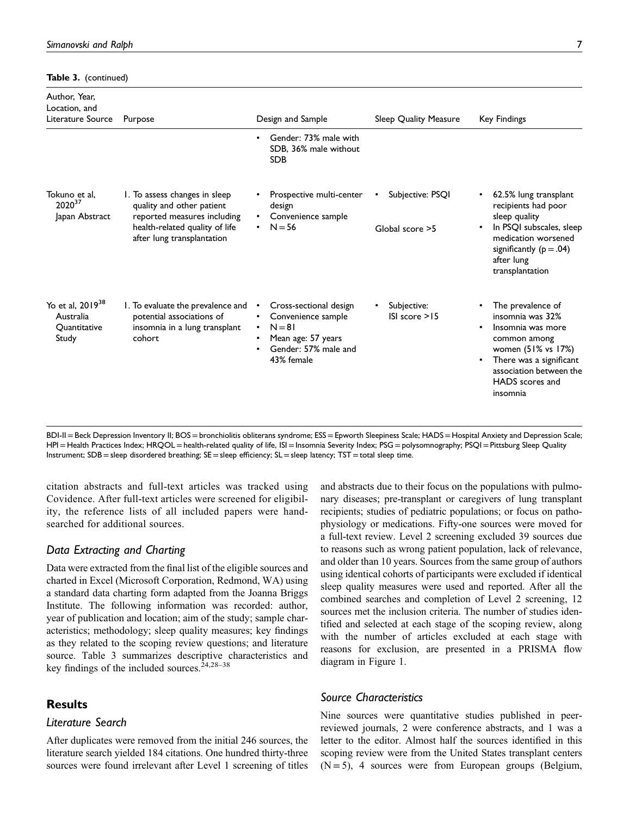Table 3. (continued)

| Author, Year,<br>Location, and<br>Literature Source                | Purpose                                                                                                                                                   | Design and Sample                                                                                                                                   | Sleep Quality Measure               | Key Findings                                                                                                                                                                                                                       |
|--------------------------------------------------------------------|-----------------------------------------------------------------------------------------------------------------------------------------------------------|-----------------------------------------------------------------------------------------------------------------------------------------------------|-------------------------------------|------------------------------------------------------------------------------------------------------------------------------------------------------------------------------------------------------------------------------------|
|                                                                    |                                                                                                                                                           | Gender: 73% male with<br>$\bullet$<br>SDB, 36% male without<br><b>SDB</b>                                                                           |                                     |                                                                                                                                                                                                                                    |
| Tokuno et al.<br>202037<br>Japan Abstract                          | 1. To assess changes in sleep<br>quality and other patient<br>reported measures including<br>health-related quality of life<br>after lung transplantation | Prospective multi-center<br>$\bullet$<br>design<br>Convenience sample<br>$\bullet$<br>$N = 56$<br>$\bullet$                                         | Subjective: PSQI<br>Global score >5 | 62.5% lung transplant<br>$\bullet$<br>recipients had poor<br>sleep quality<br>In PSQI subscales, sleep<br>$\bullet$<br>medication worsened<br>significantly ( $p = .04$ )<br>after lung<br>transplantation                         |
| Yo et al, 2019 <sup>38</sup><br>Australia<br>Quantitative<br>Study | I. To evaluate the prevalence and<br>potential associations of<br>insomnia in a lung transplant<br>cohort                                                 | Cross-sectional design<br>Convenience sample<br>$N = 81$<br>$\bullet$<br>Mean age: 57 years<br>٠<br>Gender: 57% male and<br>$\bullet$<br>43% female | Subjective:<br>ISI score > 15       | The prevalence of<br>$\bullet$<br>insomnia was 32%<br>Insomnia was more<br>$\bullet$<br>common among<br>women $(51\%$ vs $17\%)$<br>There was a significant<br>$\bullet$<br>association between the<br>HADS scores and<br>insomnia |

BDI-II=Beck Depression Inventory II; BOS=bronchiolitis obliterans syndrome; ESS=Epworth Sleepiness Scale; HADS=Hospital Anxiety and Depression Scale; HPI = Health Practices Index; HRQOL = health-related quality of life, ISI = Insomnia Severity Index; PSG = polysomnography; PSQI = Pittsburg Sleep Quality Instrument; SDB = sleep disordered breathing; SE = sleep efficiency; SL = sleep latency; TST = total sleep time.

citation abstracts and full-text articles was tracked using Covidence. After full-text articles were screened for eligibility, the reference lists of all included papers were handsearched for additional sources.

# Data Extracting and Charting

Data were extracted from the final list of the eligible sources and charted in Excel (Microsoft Corporation, Redmond, WA) using a standard data charting form adapted from the Joanna Briggs Institute. The following information was recorded: author, year of publication and location; aim of the study; sample characteristics; methodology; sleep quality measures; key findings as they related to the scoping review questions; and literature source. Table 3 summarizes descriptive characteristics and key findings of the included sources.<sup>24,28–38</sup>

### Results

## Literature Search

After duplicates were removed from the initial 246 sources, the literature search yielded 184 citations. One hundred thirty-three sources were found irrelevant after Level 1 screening of titles and abstracts due to their focus on the populations with pulmonary diseases; pre-transplant or caregivers of lung transplant recipients; studies of pediatric populations; or focus on pathophysiology or medications. Fifty-one sources were moved for a full-text review. Level 2 screening excluded 39 sources due to reasons such as wrong patient population, lack of relevance, and older than 10 years. Sources from the same group of authors using identical cohorts of participants were excluded if identical sleep quality measures were used and reported. After all the combined searches and completion of Level 2 screening, 12 sources met the inclusion criteria. The number of studies identified and selected at each stage of the scoping review, along with the number of articles excluded at each stage with reasons for exclusion, are presented in a PRISMA flow diagram in Figure 1.

### Source Characteristics

Nine sources were quantitative studies published in peerreviewed journals, 2 were conference abstracts, and 1 was a letter to the editor. Almost half the sources identified in this scoping review were from the United States transplant centers  $(N = 5)$ , 4 sources were from European groups (Belgium,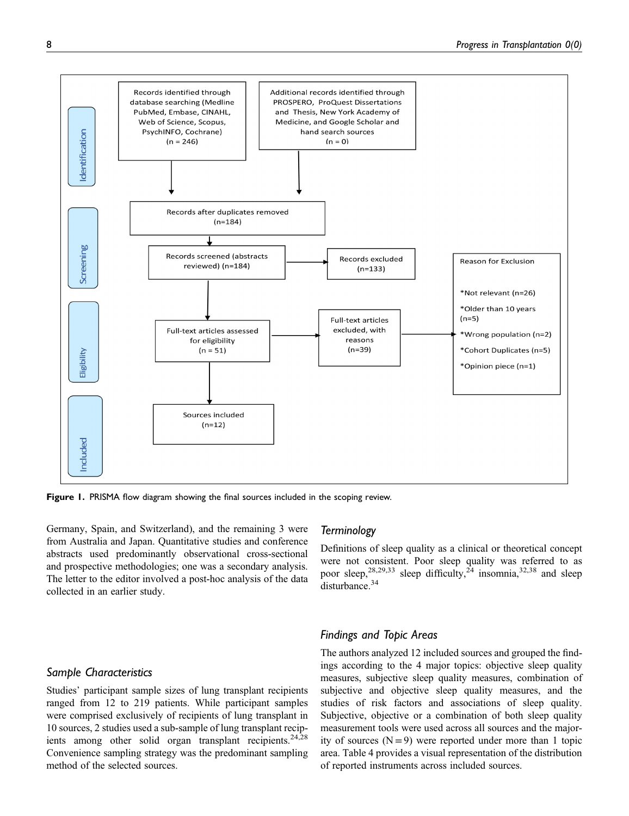

Figure 1. PRISMA flow diagram showing the final sources included in the scoping review.

Germany, Spain, and Switzerland), and the remaining 3 were from Australia and Japan. Quantitative studies and conference abstracts used predominantly observational cross-sectional and prospective methodologies; one was a secondary analysis. The letter to the editor involved a post-hoc analysis of the data collected in an earlier study.

## Sample Characteristics

Studies' participant sample sizes of lung transplant recipients ranged from 12 to 219 patients. While participant samples were comprised exclusively of recipients of lung transplant in 10 sources, 2 studies used a sub-sample of lung transplant recipients among other solid organ transplant recipients.<sup>24,28</sup> Convenience sampling strategy was the predominant sampling method of the selected sources.

## **Terminology**

Definitions of sleep quality as a clinical or theoretical concept were not consistent. Poor sleep quality was referred to as poor sleep,<sup>28,29,33</sup> sleep difficulty,<sup>24</sup> insomnia,<sup>32,38</sup> and sleep disturbance.<sup>34</sup>

### Findings and Topic Areas

The authors analyzed 12 included sources and grouped the findings according to the 4 major topics: objective sleep quality measures, subjective sleep quality measures, combination of subjective and objective sleep quality measures, and the studies of risk factors and associations of sleep quality. Subjective, objective or a combination of both sleep quality measurement tools were used across all sources and the majority of sources  $(N = 9)$  were reported under more than 1 topic area. Table 4 provides a visual representation of the distribution of reported instruments across included sources.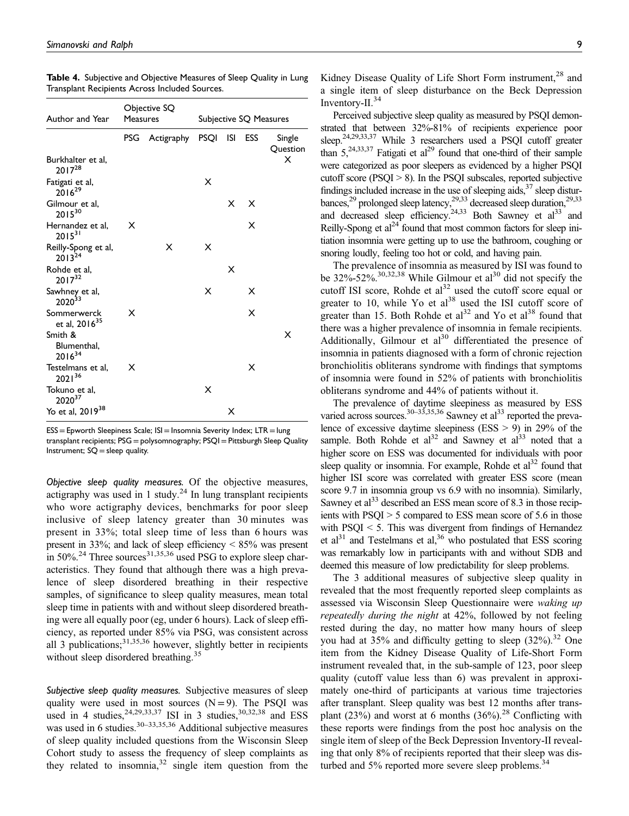| Author and Year                       | <b>Measures</b> | Objective SQ        | Subjective SQ Measures |   |     |                    |
|---------------------------------------|-----------------|---------------------|------------------------|---|-----|--------------------|
|                                       | PSG             | Actigraphy PSQI ISI |                        |   | ESS | Single<br>Question |
| Burkhalter et al,<br>$2017^{28}$      |                 |                     |                        |   |     | Х                  |
| Fatigati et al,<br>$2016^{29}$        |                 |                     | X                      |   |     |                    |
| Gilmour et al,<br>$2015^{30}$         |                 |                     |                        | X | X   |                    |
| Hernandez et al,<br>$2015^{31}$       | x               |                     |                        |   | X   |                    |
| Reilly-Spong et al,<br>$2013^{24}$    |                 | X                   | X                      |   |     |                    |
| Rohde et al,<br>$2017^{32}$           |                 |                     |                        | X |     |                    |
| Sawhney et al,<br>2020 <sup>33</sup>  |                 |                     | x                      |   | х   |                    |
| Sommerwerck<br>et al, $2016^{35}$     | x               |                     |                        |   | X   |                    |
| Smith &<br>Blumenthal,<br>$2016^{34}$ |                 |                     |                        |   |     | х                  |
| Testelmans et al,<br>$2021^{36}$      | x               |                     |                        |   | x   |                    |
| Tokuno et al,<br>202037               |                 |                     | X                      |   |     |                    |
| Yo et al, 2019 <sup>38</sup>          |                 |                     |                        | х |     |                    |

Table 4. Subjective and Objective Measures of Sleep Quality in Lung Transplant Recipients Across Included Sources.

ESS=Epworth Sleepiness Scale; ISI=Insomnia Severity Index; LTR=lung transplant recipients; PSG = polysomnography; PSQI = Pittsburgh Sleep Quality Instrument;  $SQ =$  sleep quality.

Objective sleep quality measures. Of the objective measures, actigraphy was used in 1 study.<sup>24</sup> In lung transplant recipients who wore actigraphy devices, benchmarks for poor sleep inclusive of sleep latency greater than 30 minutes was present in 33%; total sleep time of less than 6 hours was present in 33%; and lack of sleep efficiency  $\leq 85\%$  was present in  $50\%$ <sup>24</sup> Three sources<sup>31,35,36</sup> used PSG to explore sleep characteristics. They found that although there was a high prevalence of sleep disordered breathing in their respective samples, of significance to sleep quality measures, mean total sleep time in patients with and without sleep disordered breathing were all equally poor (eg, under 6 hours). Lack of sleep efficiency, as reported under 85% via PSG, was consistent across all 3 publications;  $31,35,36$  however, slightly better in recipients without sleep disordered breathing.<sup>35</sup>

Subjective sleep quality measures. Subjective measures of sleep quality were used in most sources  $(N = 9)$ . The PSQI was used in 4 studies,  $24,29,33,37$  ISI in 3 studies,  $30,32,38$  and ESS was used in 6 studies.<sup>30–33,35,36</sup> Additional subjective measures of sleep quality included questions from the Wisconsin Sleep Cohort study to assess the frequency of sleep complaints as they related to insomnia,  $32$  single item question from the Kidney Disease Quality of Life Short Form instrument,<sup>28</sup> and a single item of sleep disturbance on the Beck Depression Inventory-II.<sup>34</sup>

Perceived subjective sleep quality as measured by PSQI demonstrated that between 32%-81% of recipients experience poor sleep.<sup>24,29,33,37</sup> While 3 researchers used a PSQI cutoff greater than  $5,^{24,33,37}$  Fatigati et al<sup>29</sup> found that one-third of their sample were categorized as poor sleepers as evidenced by a higher PSQI cutoff score (PSQI > 8). In the PSQI subscales, reported subjective findings included increase in the use of sleeping aids,  $37$  sleep disturbances,<sup>29</sup> prolonged sleep latency,<sup>29,33</sup> decreased sleep duration,<sup>29,33</sup> and decreased sleep efficiency.<sup>24,33</sup> Both Sawney et al<sup>33</sup> and Reilly-Spong et  $al^{24}$  found that most common factors for sleep initiation insomnia were getting up to use the bathroom, coughing or snoring loudly, feeling too hot or cold, and having pain.

The prevalence of insomnia as measured by ISI was found to be  $32\%$ -52%.<sup>30,32,38</sup> While Gilmour et al<sup>30</sup> did not specify the cutoff ISI score, Rohde et  $al^{32}$  used the cutoff score equal or greater to 10, while Yo et  $al^{38}$  used the ISI cutoff score of greater than 15. Both Rohde et  $al<sup>32</sup>$  and Yo et  $al<sup>38</sup>$  found that there was a higher prevalence of insomnia in female recipients. Additionally, Gilmour et  $al^{30}$  differentiated the presence of insomnia in patients diagnosed with a form of chronic rejection bronchiolitis obliterans syndrome with findings that symptoms of insomnia were found in 52% of patients with bronchiolitis obliterans syndrome and 44% of patients without it.

The prevalence of daytime sleepiness as measured by ESS varied across sources.<sup>30–33,35,36</sup> Sawney et al<sup>33</sup> reported the prevalence of excessive daytime sleepiness (ESS > 9) in 29% of the sample. Both Rohde et al<sup>32</sup> and Sawney et al<sup>33</sup> noted that a higher score on ESS was documented for individuals with poor sleep quality or insomnia. For example, Rohde et  $al<sup>32</sup>$  found that higher ISI score was correlated with greater ESS score (mean score 9.7 in insomnia group vs 6.9 with no insomnia). Similarly, Sawney et al<sup>33</sup> described an ESS mean score of 8.3 in those recipients with PSQI > 5 compared to ESS mean score of 5.6 in those with PSQI < 5. This was divergent from findings of Hernandez et al<sup>31</sup> and Testelmans et al,<sup>36</sup> who postulated that ESS scoring was remarkably low in participants with and without SDB and deemed this measure of low predictability for sleep problems.

The 3 additional measures of subjective sleep quality in revealed that the most frequently reported sleep complaints as assessed via Wisconsin Sleep Questionnaire were waking up repeatedly during the night at 42%, followed by not feeling rested during the day, no matter how many hours of sleep you had at  $35\%$  and difficulty getting to sleep  $(32\%)$ .<sup>32</sup> One item from the Kidney Disease Quality of Life-Short Form instrument revealed that, in the sub-sample of 123, poor sleep quality (cutoff value less than 6) was prevalent in approximately one-third of participants at various time trajectories after transplant. Sleep quality was best 12 months after transplant (23%) and worst at 6 months  $(36\%)$ <sup>28</sup> Conflicting with these reports were findings from the post hoc analysis on the single item of sleep of the Beck Depression Inventory-II revealing that only 8% of recipients reported that their sleep was disturbed and  $5\%$  reported more severe sleep problems.<sup>34</sup>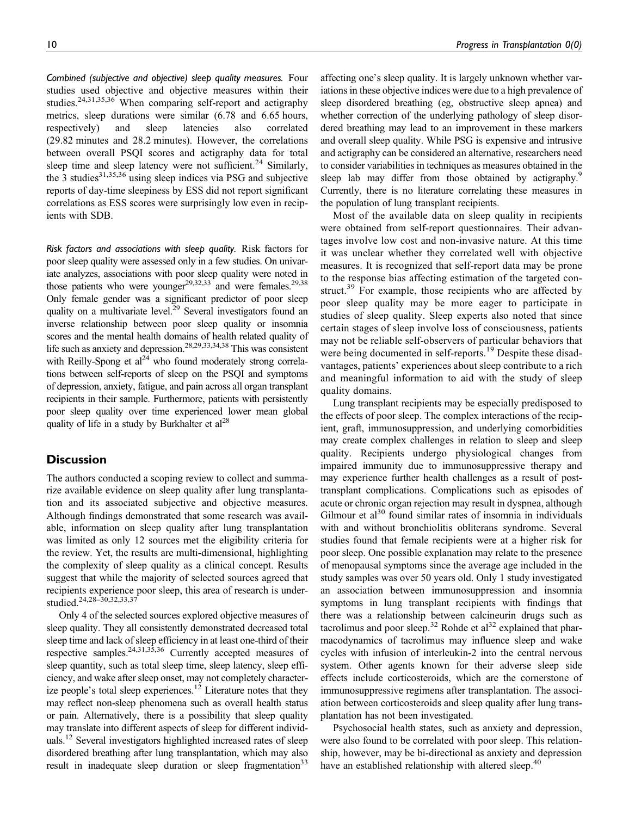Combined (subjective and objective) sleep quality measures. Four studies used objective and objective measures within their studies.<sup>24,31,35,36</sup> When comparing self-report and actigraphy metrics, sleep durations were similar (6.78 and 6.65 hours, respectively) and sleep latencies also correlated (29.82 minutes and 28.2 minutes). However, the correlations between overall PSQI scores and actigraphy data for total sleep time and sleep latency were not sufficient.<sup>24</sup> Similarly, the  $3$  studies<sup>31,35,36</sup> using sleep indices via PSG and subjective reports of day-time sleepiness by ESS did not report significant correlations as ESS scores were surprisingly low even in recipients with SDB.

Risk factors and associations with sleep quality. Risk factors for poor sleep quality were assessed only in a few studies. On univariate analyzes, associations with poor sleep quality were noted in those patients who were younger $^{29,32,33}$  and were females.<sup>29,38</sup> Only female gender was a significant predictor of poor sleep quality on a multivariate level.<sup>29</sup> Several investigators found an inverse relationship between poor sleep quality or insomnia scores and the mental health domains of health related quality of life such as anxiety and depression.<sup>28,29,33,34,38</sup> This was consistent with Reilly-Spong et  $al^{24}$  who found moderately strong correlations between self-reports of sleep on the PSQI and symptoms of depression, anxiety, fatigue, and pain across all organ transplant recipients in their sample. Furthermore, patients with persistently poor sleep quality over time experienced lower mean global quality of life in a study by Burkhalter et  $al^{28}$ 

## **Discussion**

The authors conducted a scoping review to collect and summarize available evidence on sleep quality after lung transplantation and its associated subjective and objective measures. Although findings demonstrated that some research was available, information on sleep quality after lung transplantation was limited as only 12 sources met the eligibility criteria for the review. Yet, the results are multi-dimensional, highlighting the complexity of sleep quality as a clinical concept. Results suggest that while the majority of selected sources agreed that recipients experience poor sleep, this area of research is understudied.<sup>24,28–30,32,33,37</sup>

Only 4 of the selected sources explored objective measures of sleep quality. They all consistently demonstrated decreased total sleep time and lack of sleep efficiency in at least one-third of their respective samples.24,31,35,36 Currently accepted measures of sleep quantity, such as total sleep time, sleep latency, sleep efficiency, and wake after sleep onset, may not completely characterize people's total sleep experiences.<sup>12</sup> Literature notes that they may reflect non-sleep phenomena such as overall health status or pain. Alternatively, there is a possibility that sleep quality may translate into different aspects of sleep for different individuals.<sup>12</sup> Several investigators highlighted increased rates of sleep disordered breathing after lung transplantation, which may also result in inadequate sleep duration or sleep fragmentation<sup>33</sup>

affecting one's sleep quality. It is largely unknown whether variations in these objective indices were due to a high prevalence of sleep disordered breathing (eg, obstructive sleep apnea) and whether correction of the underlying pathology of sleep disordered breathing may lead to an improvement in these markers and overall sleep quality. While PSG is expensive and intrusive and actigraphy can be considered an alternative, researchers need to consider variabilities in techniques as measures obtained in the sleep lab may differ from those obtained by actigraphy.<sup>9</sup> Currently, there is no literature correlating these measures in the population of lung transplant recipients.

Most of the available data on sleep quality in recipients were obtained from self-report questionnaires. Their advantages involve low cost and non-invasive nature. At this time it was unclear whether they correlated well with objective measures. It is recognized that self-report data may be prone to the response bias affecting estimation of the targeted construct.<sup>39</sup> For example, those recipients who are affected by poor sleep quality may be more eager to participate in studies of sleep quality. Sleep experts also noted that since certain stages of sleep involve loss of consciousness, patients may not be reliable self-observers of particular behaviors that were being documented in self-reports.<sup>19</sup> Despite these disadvantages, patients' experiences about sleep contribute to a rich and meaningful information to aid with the study of sleep quality domains.

Lung transplant recipients may be especially predisposed to the effects of poor sleep. The complex interactions of the recipient, graft, immunosuppression, and underlying comorbidities may create complex challenges in relation to sleep and sleep quality. Recipients undergo physiological changes from impaired immunity due to immunosuppressive therapy and may experience further health challenges as a result of posttransplant complications. Complications such as episodes of acute or chronic organ rejection may result in dyspnea, although Gilmour et  $al<sup>30</sup>$  found similar rates of insomnia in individuals with and without bronchiolitis obliterans syndrome. Several studies found that female recipients were at a higher risk for poor sleep. One possible explanation may relate to the presence of menopausal symptoms since the average age included in the study samples was over 50 years old. Only 1 study investigated an association between immunosuppression and insomnia symptoms in lung transplant recipients with findings that there was a relationship between calcineurin drugs such as tacrolimus and poor sleep.<sup>32</sup> Rohde et al<sup>32</sup> explained that pharmacodynamics of tacrolimus may influence sleep and wake cycles with infusion of interleukin-2 into the central nervous system. Other agents known for their adverse sleep side effects include corticosteroids, which are the cornerstone of immunosuppressive regimens after transplantation. The association between corticosteroids and sleep quality after lung transplantation has not been investigated.

Psychosocial health states, such as anxiety and depression, were also found to be correlated with poor sleep. This relationship, however, may be bi-directional as anxiety and depression have an established relationship with altered sleep.<sup>40</sup>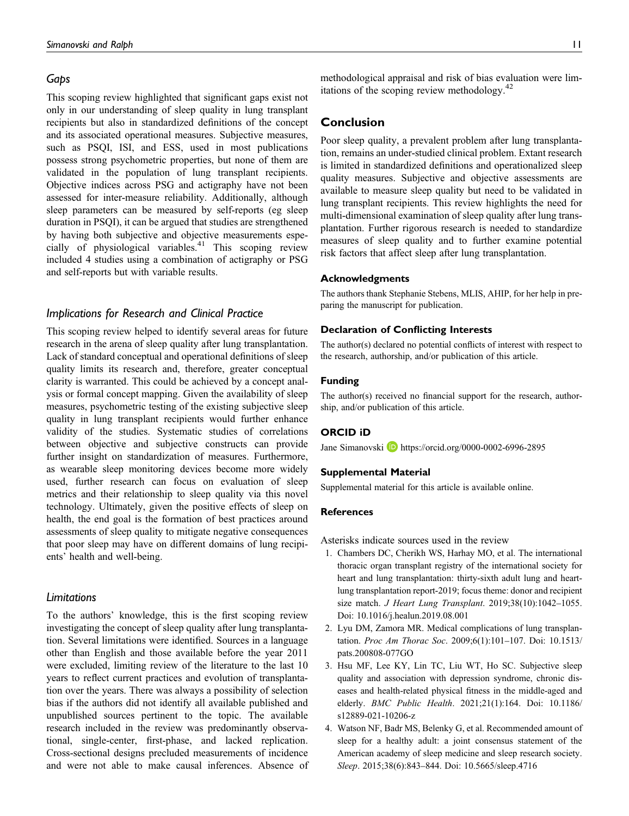### Gaps

This scoping review highlighted that significant gaps exist not only in our understanding of sleep quality in lung transplant recipients but also in standardized definitions of the concept and its associated operational measures. Subjective measures, such as PSQI, ISI, and ESS, used in most publications possess strong psychometric properties, but none of them are validated in the population of lung transplant recipients. Objective indices across PSG and actigraphy have not been assessed for inter-measure reliability. Additionally, although sleep parameters can be measured by self-reports (eg sleep duration in PSQI), it can be argued that studies are strengthened by having both subjective and objective measurements especially of physiological variables.<sup>41</sup> This scoping review included 4 studies using a combination of actigraphy or PSG and self-reports but with variable results.

# Implications for Research and Clinical Practice

This scoping review helped to identify several areas for future research in the arena of sleep quality after lung transplantation. Lack of standard conceptual and operational definitions of sleep quality limits its research and, therefore, greater conceptual clarity is warranted. This could be achieved by a concept analysis or formal concept mapping. Given the availability of sleep measures, psychometric testing of the existing subjective sleep quality in lung transplant recipients would further enhance validity of the studies. Systematic studies of correlations between objective and subjective constructs can provide further insight on standardization of measures. Furthermore, as wearable sleep monitoring devices become more widely used, further research can focus on evaluation of sleep metrics and their relationship to sleep quality via this novel technology. Ultimately, given the positive effects of sleep on health, the end goal is the formation of best practices around assessments of sleep quality to mitigate negative consequences that poor sleep may have on different domains of lung recipients' health and well-being.

### Limitations

To the authors' knowledge, this is the first scoping review investigating the concept of sleep quality after lung transplantation. Several limitations were identified. Sources in a language other than English and those available before the year 2011 were excluded, limiting review of the literature to the last 10 years to reflect current practices and evolution of transplantation over the years. There was always a possibility of selection bias if the authors did not identify all available published and unpublished sources pertinent to the topic. The available research included in the review was predominantly observational, single-center, first-phase, and lacked replication. Cross-sectional designs precluded measurements of incidence and were not able to make causal inferences. Absence of methodological appraisal and risk of bias evaluation were limitations of the scoping review methodology.<sup>42</sup>

### Conclusion

Poor sleep quality, a prevalent problem after lung transplantation, remains an under-studied clinical problem. Extant research is limited in standardized definitions and operationalized sleep quality measures. Subjective and objective assessments are available to measure sleep quality but need to be validated in lung transplant recipients. This review highlights the need for multi-dimensional examination of sleep quality after lung transplantation. Further rigorous research is needed to standardize measures of sleep quality and to further examine potential risk factors that affect sleep after lung transplantation.

#### Acknowledgments

The authors thank Stephanie Stebens, MLIS, AHIP, for her help in preparing the manuscript for publication.

#### Declaration of Conflicting Interests

The author(s) declared no potential conflicts of interest with respect to the research, authorship, and/or publication of this article.

#### Funding

The author(s) received no financial support for the research, authorship, and/or publication of this article.

#### ORCID iD

Jane Simanovski **<https://orcid.org/0000-0002-6996-2895>** 

#### Supplemental Material

Supplemental material for this article is available online.

### **References**

Asterisks indicate sources used in the review

- 1. Chambers DC, Cherikh WS, Harhay MO, et al. The international thoracic organ transplant registry of the international society for heart and lung transplantation: thirty-sixth adult lung and heartlung transplantation report-2019; focus theme: donor and recipient size match. [J Heart Lung Transplant](http://doi.org/10.1016/j.healun.2019.08.001). 2019;38(10):1042–1055. Doi: [10.1016/j.healun.2019.08.001](http://doi.org/10.1016/j.healun.2019.08.001)
- 2. Lyu DM, Zamora MR. Medical complications of lung transplantation. [Proc Am Thorac Soc](http://doi.org/10.1513/pats.200808-077GO). 2009;6(1):101–107. Doi: [10.1513/](http://doi.org/10.1513/pats.200808-077GO) [pats.200808-077GO](http://doi.org/10.1513/pats.200808-077GO)
- 3. Hsu MF, Lee KY, Lin TC, Liu WT, Ho SC. Subjective sleep quality and association with depression syndrome, chronic diseases and health-related physical fitness in the middle-aged and elderly. [BMC Public Health](http://doi.org/10.1186/s12889-021-10206-z). 2021;21(1):164. Doi: [10.1186/](http://doi.org/10.1186/s12889-021-10206-z) [s12889-021-10206-z](http://doi.org/10.1186/s12889-021-10206-z)
- 4. Watson NF, Badr MS, Belenky G, et al. Recommended amount of sleep for a healthy adult: a joint consensus statement of the American academy of sleep medicine and sleep research society. [Sleep](http://doi.org/10.5665/sleep.4716). 2015;38(6):843–844. Doi: [10.5665/sleep.4716](http://doi.org/10.5665/sleep.4716)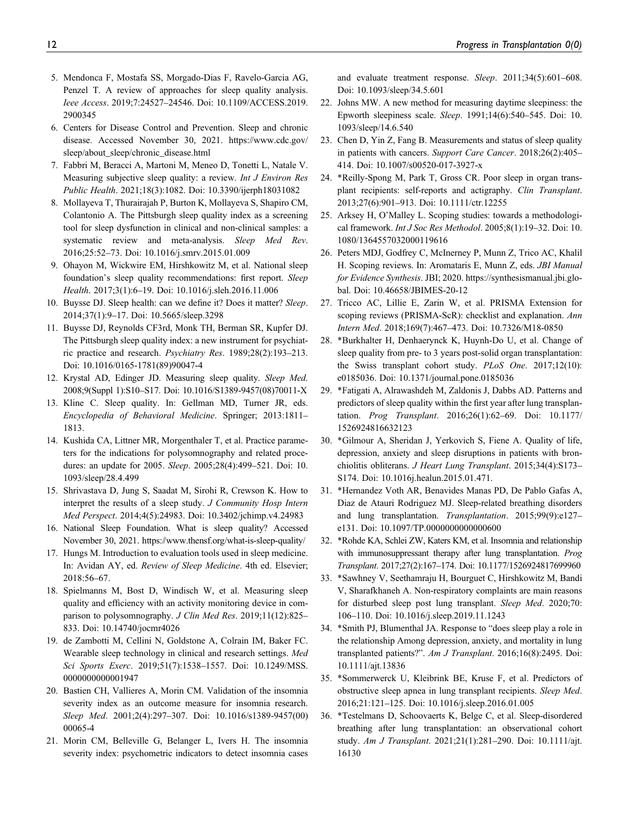- 5. Mendonca F, Mostafa SS, Morgado-Dias F, Ravelo-Garcia AG, Penzel T. A review of approaches for sleep quality analysis. [Ieee Access](http://doi.org/10.1109/ACCESS.2019.2900345). 2019;7:24527–24546. Doi: [10.1109/ACCESS.2019.](http://doi.org/10.1109/ACCESS.2019.2900345) [2900345](http://doi.org/10.1109/ACCESS.2019.2900345)
- 6. Centers for Disease Control and Prevention. Sleep and chronic disease. Accessed November 30, 2021. [https://www.cdc.gov/](https://www.cdc.gov/sleep/about_sleep/chronic_disease.html) [sleep/about\\_sleep/chronic\\_disease.html](https://www.cdc.gov/sleep/about_sleep/chronic_disease.html)
- 7. Fabbri M, Beracci A, Martoni M, Meneo D, Tonetti L, Natale V. Measuring subjective sleep quality: a review. [Int J Environ Res](http://doi.org/10.3390/ijerph18031082) [Public Health](http://doi.org/10.3390/ijerph18031082). 2021;18(3):1082. Doi: [10.3390/ijerph18031082](http://doi.org/10.3390/ijerph18031082)
- 8. Mollayeva T, Thurairajah P, Burton K, Mollayeva S, Shapiro CM, Colantonio A. The Pittsburgh sleep quality index as a screening tool for sleep dysfunction in clinical and non-clinical samples: a systematic review and meta-analysis. [Sleep Med Rev](http://doi.org/10.1016/j.smrv.2015.01.009). 2016;25:52–73. Doi: [10.1016/j.smrv.2015.01.009](http://doi.org/10.1016/j.smrv.2015.01.009)
- 9. Ohayon M, Wickwire EM, Hirshkowitz M, et al. National sleep foundation's sleep quality recommendations: first report. [Sleep](http://doi.org/10.1016/j.sleh.2016.11.006) [Health](http://doi.org/10.1016/j.sleh.2016.11.006). 2017;3(1):6–19. Doi: [10.1016/j.sleh.2016.11.006](http://doi.org/10.1016/j.sleh.2016.11.006)
- 10. Buysse DJ. Sleep health: can we define it? Does it matter? [Sleep](http://doi.org/10.5665/sleep.3298). 2014;37(1):9–17. Doi: [10.5665/sleep.3298](http://doi.org/10.5665/sleep.3298)
- 11. Buysse DJ, Reynolds CF3rd, Monk TH, Berman SR, Kupfer DJ. The Pittsburgh sleep quality index: a new instrument for psychiatric practice and research. [Psychiatry Res](http://doi.org/10.1016/0165-1781(89)90047-4). 1989;28(2):193–213. Doi: [10.1016/0165-1781\(89\)90047-4](http://doi.org/10.1016/0165-1781(89)90047-4)
- 12. Krystal AD, Edinger JD. Measuring sleep quality. [Sleep Med](http://doi.org/10.1016/S1389-9457(08)70011-X). 2008;9(Suppl 1):S10–S17. Doi: [10.1016/S1389-9457\(08\)70011-X](http://doi.org/10.1016/S1389-9457(08)70011-X)
- 13. Kline C. Sleep quality. In: Gellman MD, Turner JR, eds. Encyclopedia of Behavioral Medicine. Springer; 2013:1811– 1813.
- 14. Kushida CA, Littner MR, Morgenthaler T, et al. Practice parameters for the indications for polysomnography and related procedures: an update for 2005. [Sleep](http://doi.org/10.1093/sleep/28.4.499). 2005;28(4):499–521. Doi: [10.](http://doi.org/10.1093/sleep/28.4.499) [1093/sleep/28.4.499](http://doi.org/10.1093/sleep/28.4.499)
- 15. Shrivastava D, Jung S, Saadat M, Sirohi R, Crewson K. How to interpret the results of a sleep study. [J Community Hosp Intern](http://doi.org/10.3402/jchimp.v4.24983) [Med Perspect](http://doi.org/10.3402/jchimp.v4.24983). 2014;4(5):24983. Doi: [10.3402/jchimp.v4.24983](http://doi.org/10.3402/jchimp.v4.24983)
- 16. National Sleep Foundation. What is sleep quality? Accessed November 30, 2021.<https://www.thensf.org/what-is-sleep-quality/>
- 17. Hungs M. Introduction to evaluation tools used in sleep medicine. In: Avidan AY, ed. Review of Sleep Medicine. 4th ed. Elsevier; 2018:56–67.
- 18. Spielmanns M, Bost D, Windisch W, et al. Measuring sleep quality and efficiency with an activity monitoring device in com-parison to polysomnography. [J Clin Med Res](http://doi.org/10.14740/jocmr4026). 2019;11(12):825-833. Doi: [10.14740/jocmr4026](http://doi.org/10.14740/jocmr4026)
- 19. de Zambotti M, Cellini N, Goldstone A, Colrain IM, Baker FC. Wearable sleep technology in clinical and research settings. [Med](http://doi.org/10.1249/MSS.0000000000001947) [Sci Sports Exerc](http://doi.org/10.1249/MSS.0000000000001947). 2019;51(7):1538–1557. Doi: [10.1249/MSS.](http://doi.org/10.1249/MSS.0000000000001947) [0000000000001947](http://doi.org/10.1249/MSS.0000000000001947)
- 20. Bastien CH, Vallieres A, Morin CM. Validation of the insomnia severity index as an outcome measure for insomnia research. [Sleep Med](http://doi.org/10.1016/s1389-9457(00)00065-4). 2001;2(4):297–307. Doi: [10.1016/s1389-9457\(00\)](http://doi.org/10.1016/s1389-9457(00)00065-4) [00065-4](http://doi.org/10.1016/s1389-9457(00)00065-4)
- 21. Morin CM, Belleville G, Belanger L, Ivers H. The insomnia severity index: psychometric indicators to detect insomnia cases

and evaluate treatment response. [Sleep](http://doi.org/10.1093/sleep/34.5.601). 2011;34(5):601–608. Doi: [10.1093/sleep/34.5.601](http://doi.org/10.1093/sleep/34.5.601)

- 22. Johns MW. A new method for measuring daytime sleepiness: the Epworth sleepiness scale. [Sleep](http://doi.org/10.1093/sleep/14.6.540). 1991;14(6):540–545. Doi: [10.](http://doi.org/10.1093/sleep/14.6.540) [1093/sleep/14.6.540](http://doi.org/10.1093/sleep/14.6.540)
- 23. Chen D, Yin Z, Fang B. Measurements and status of sleep quality in patients with cancers. [Support Care Cancer](http://doi.org/10.1007/s00520-017-3927-x). 2018;26(2):405– 414. Doi: [10.1007/s00520-017-3927-x](http://doi.org/10.1007/s00520-017-3927-x)
- 24. \*Reilly-Spong M, Park T, Gross CR. Poor sleep in organ transplant recipients: self-reports and actigraphy. [Clin Transplant](http://doi.org/10.1111/ctr.12255). 2013;27(6):901–913. Doi: [10.1111/ctr.12255](http://doi.org/10.1111/ctr.12255)
- 25. Arksey H, O'Malley L. Scoping studies: towards a methodological framework. [Int J Soc Res Methodol](http://doi.org/10.1080/1364557032000119616). 2005;8(1):19–32. Doi: [10.](http://doi.org/10.1080/1364557032000119616) [1080/1364557032000119616](http://doi.org/10.1080/1364557032000119616)
- 26. Peters MDJ, Godfrey C, McInerney P, Munn Z, Trico AC, Khalil H. Scoping reviews. In: Aromataris E, Munn Z, eds. JBI Manual for Evidence Synthesis. JBI; 2020. https://synthesismanual.jbi.global. Doi: 10.46658/JBIMES-20-12
- 27. Tricco AC, Lillie E, Zarin W, et al. PRISMA Extension for scoping reviews (PRISMA-ScR): checklist and explanation. [Ann](http://doi.org/10.7326/M18-0850) [Intern Med](http://doi.org/10.7326/M18-0850). 2018;169(7):467–473. Doi: [10.7326/M18-0850](http://doi.org/10.7326/M18-0850)
- 28. \*Burkhalter H, Denhaerynck K, Huynh-Do U, et al. Change of sleep quality from pre- to 3 years post-solid organ transplantation: the Swiss transplant cohort study. [PLoS One](http://doi.org/10.1371/journal.pone.0185036). 2017;12(10): e0185036. Doi: [10.1371/journal.pone.0185036](http://doi.org/10.1371/journal.pone.0185036)
- 29. \*Fatigati A, Alrawashdeh M, Zaldonis J, Dabbs AD. Patterns and predictors of sleep quality within the first year after lung transplantation. [Prog Transplant](http://doi.org/10.1177/1526924816632123). 2016;26(1):62–69. Doi: [10.1177/](http://doi.org/10.1177/1526924816632123) [1526924816632123](http://doi.org/10.1177/1526924816632123)
- 30. \*Gilmour A, Sheridan J, Yerkovich S, Fiene A. Quality of life, depression, anxiety and sleep disruptions in patients with bronchiolitis obliterans. [J Heart Lung Transplant](http://doi.org/10.1016j.healun.2015.01.471). 2015;34(4):S173– S174. Doi: [10.1016j.healun.2015.01.471.](http://doi.org/10.1016j.healun.2015.01.471)
- 31. \*Hernandez Voth AR, Benavides Manas PD, De Pablo Gafas A, Diaz de Atauri Rodriguez MJ. Sleep-related breathing disorders and lung transplantation. [Transplantation](http://doi.org/10.1097/TP.0000000000000600). 2015;99(9):e127– e131. Doi: [10.1097/TP.0000000000000600](http://doi.org/10.1097/TP.0000000000000600)
- 32. \*Rohde KA, Schlei ZW, Katers KM, et al. Insomnia and relationship with immunosuppressant therapy after lung transplantation. [Prog](http://doi.org/10.1177/1526924817699960) [Transplant](http://doi.org/10.1177/1526924817699960). 2017;27(2):167–174. Doi: [10.1177/1526924817699960](http://doi.org/10.1177/1526924817699960)
- 33. \*Sawhney V, Seethamraju H, Bourguet C, Hirshkowitz M, Bandi V, Sharafkhaneh A. Non-respiratory complaints are main reasons for disturbed sleep post lung transplant. [Sleep Med](http://doi.org/10.1016/j.sleep.2019.11.1243). 2020;70: 106–110. Doi: [10.1016/j.sleep.2019.11.1243](http://doi.org/10.1016/j.sleep.2019.11.1243)
- 34. \*Smith PJ, Blumenthal JA. Response to "does sleep play a role in the relationship Among depression, anxiety, and mortality in lung transplanted patients?". [Am J Transplant](http://doi.org/10.1111/ajt.13836). 2016;16(8):2495. Doi: [10.1111/ajt.13836](http://doi.org/10.1111/ajt.13836)
- 35. \*Sommerwerck U, Kleibrink BE, Kruse F, et al. Predictors of obstructive sleep apnea in lung transplant recipients. [Sleep Med](http://doi.org/10.1016/j.sleep.2016.01.005). 2016;21:121–125. Doi: [10.1016/j.sleep.2016.01.005](http://doi.org/10.1016/j.sleep.2016.01.005)
- 36. \*Testelmans D, Schoovaerts K, Belge C, et al. Sleep-disordered breathing after lung transplantation: an observational cohort study. [Am J Transplant](http://doi.org/10.1111/ajt.16130). 2021;21(1):281–290. Doi: [10.1111/ajt.](http://doi.org/10.1111/ajt.16130) [16130](http://doi.org/10.1111/ajt.16130)